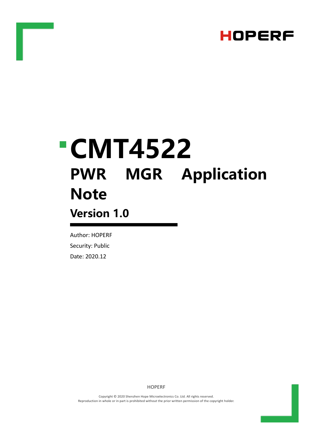

# **CMT4522 PWR MGR Application Note Version 1.0**

Author: HOPERF Security: Public Date: 2020.12

**HOPERF** 

Copyright © 2020 Shenzhen Hope Microelectronics Co. Ltd. All rights reserved. Reproduction in whole or in part is prohibited without the prior written permission of the copyright holder.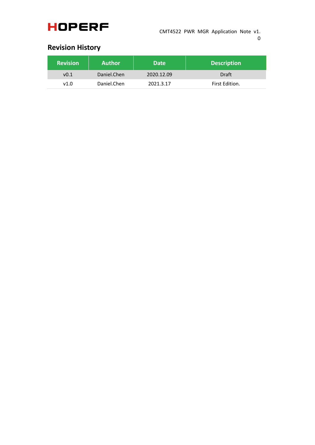

## **Revision History**

| <b>Revision</b> | <b>Author</b> | <b>Date</b> | <b>Description</b> |
|-----------------|---------------|-------------|--------------------|
| v0.1            | Daniel.Chen   | 2020.12.09  | Draft              |
| v1.0            | Daniel.Chen   | 2021.3.17   | First Edition.     |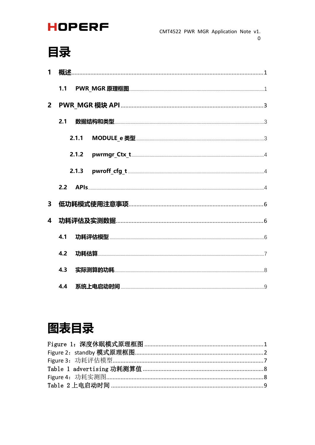# 目录

| $\mathbf{1}$            |     |  |  |
|-------------------------|-----|--|--|
|                         |     |  |  |
| $\mathbf{2}$            |     |  |  |
|                         |     |  |  |
|                         |     |  |  |
|                         |     |  |  |
|                         |     |  |  |
|                         |     |  |  |
| $\overline{\mathbf{3}}$ |     |  |  |
| $\overline{\mathbf{4}}$ |     |  |  |
|                         |     |  |  |
|                         | 4.2 |  |  |
|                         |     |  |  |
|                         |     |  |  |

# 图表目录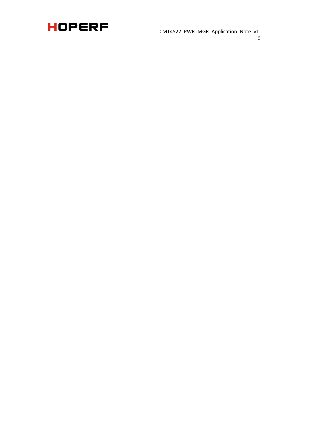

0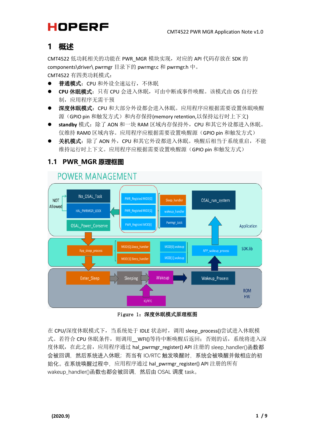### <span id="page-4-0"></span>**1 概述**

CMT4522 低功耗相关的功能在 PWR\_MGR 模块实现,对应的 API 代码存放在 SDK 的 components\driver\ pwrmgr 目录下的 pwrmgr.c 和 pwrmgr.h 中。 CMT4522 有四类功耗模式:

- 普通模式: CPU 和外设全速运行, 不休眠
- ⚫ **CPU** 休眠模式:只有 CPU 会进入休眠,可由中断或事件唤醒。该模式由 OS 自行控 制,应用程序无需干预
- 深度休眠模式: CPU 和大部分外设都会讲入休眠。应用程序应根据需要设置休眠唤醒 源(GPIO pin 和触发方式)和内存保持(memory retention,以保持运行时上下文)
- standbv 模式: 除了 AON 和一块 RAM 区域内存保持外, CPU 和其它外设都进入休眠。 仅维持 RAM0 区域内容。应用程序应根据需要设置唤醒源(GPIO pin 和触发方式)
- 关机模式:除了 AON 外, CPU 和其它外设都进入休眠。唤醒后相当于系统重启, 不能 维持运行时上下文。应用程序应根据需要设置唤醒源(GPIO pin 和触发方式)



### <span id="page-4-1"></span>**1.1 PWR\_MGR 原理框图**

Figure 1:深度休眠模式原理框图

<span id="page-4-2"></span>在 CPU/深度休眠模式下,当系统处于 IDLE 状态时, 调用 sleep\_process()尝试进入休眠模 式。若符合 CPU 休眠条件, 则调用 WFI()等待中断唤醒后返回;否则的话, 系统将进入深 度休眠,在此之前,应用程序通过 hal\_pwrmgr\_register() API 注册的 sleep\_handler()函数都 会被回调,然后系统进入休眠;而当有 IO/RTC 触发唤醒时,系统会被唤醒并做相应的初 始化。在系统唤醒过程中, 应用程序通过 hal\_pwrmgr\_register() API 注册的所有 wakeup\_handler()函数也都会被回调, 然后由 OSAL 调度 task。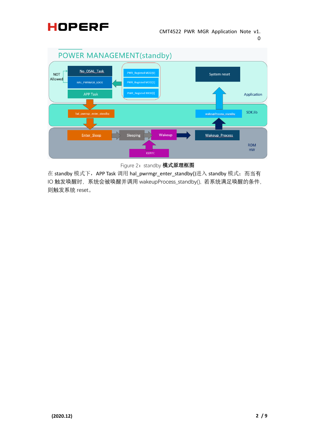



Figure 2: standby 模式原理框图

<span id="page-5-0"></span>在 standby 模式下, APP Task 调用 hal\_pwrmgr\_enter\_standby()进入 standby 模式; 而当有 IO 触发唤醒时,系统会被唤醒并调用 wakeupProcess\_standby(), 若系统满足唤醒的条件, 则触发系统 reset。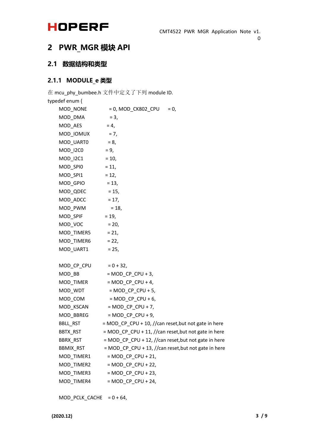0

## <span id="page-6-0"></span>**2 PWR\_MGR 模块 API**

### <span id="page-6-1"></span>**2.1 数据结构和类型**

#### <span id="page-6-2"></span>**2.1.1 MODULE\_e 类型**

在 mcu\_phy\_bumbee.h 文件中定义了下列 module ID. typedef enum {

| MOD_NONE                | $= 0$ , MOD_CK802_CPU $= 0$ ,                        |
|-------------------------|------------------------------------------------------|
| $MOD_DMA$ = 3,          |                                                      |
| MOD_AES                 | $=4,$                                                |
| $MOD_IONUX = 7,$        |                                                      |
| $MOD_UARTO = 8,$        |                                                      |
| $MOD_12CO = 9,$         |                                                      |
| $MOD_12C1 = 10,$        |                                                      |
| $MOD$ _SPIO = 11,       |                                                      |
| $MOD$ _SPI1 = 12,       |                                                      |
| $MOD_GPIO = 13,$        |                                                      |
| $MOD_QDEC = 15,$        |                                                      |
| $MOD_ADCC = 17,$        |                                                      |
| $MOD_PWM = 18,$         |                                                      |
| $MOD$ _SPIF = 19,       |                                                      |
| $MOD_VOC$ = 20,         |                                                      |
| $MOD_$ TIMER5 = 21,     |                                                      |
| $MOD$ TIMER6 = 22,      |                                                      |
| $MOD_UART1$ = 25,       |                                                      |
|                         |                                                      |
| $MOD_C$ P_CPU = 0 + 32, |                                                      |
| MOD_BB                  | $= MOD_CP_CPU + 3,$                                  |
|                         | MOD_TIMER = $MOD_CP_CPU + 4$ ,                       |
|                         | $MOD_WDT$ = $MOD_CP_CPU + 5$ ,                       |
| MOD_COM NO              | $= MOD_CP_CPU + 6,$                                  |
|                         | $MOD_KSCAN$ = $MOD_CP_CPU + 7$ ,                     |
| MOD_BBREG               | $= MOD_CP_CPU + 9,$                                  |
| <b>BBLL RST</b>         | = MOD_CP_CPU + 10, //can reset, but not gate in here |
| BBTX_RST                | = MOD_CP_CPU + 11, //can reset, but not gate in here |
| BBRX RST                | = MOD_CP_CPU + 12, //can reset, but not gate in here |
| BBMIX_RST               | = MOD_CP_CPU + 13, //can reset, but not gate in here |
| MOD_TIMER1              | $= MOD_CP_CPU + 21,$                                 |
| MOD_TIMER2              | $= MOD_CP_CPU + 22,$                                 |
| MOD_TIMER3              | $= MOD_CP_CPU + 23,$                                 |
| MOD_TIMER4              | $= MOD_CP_CPU + 24,$                                 |
|                         |                                                      |

 $MOD_PCLK_CACHE = 0 + 64,$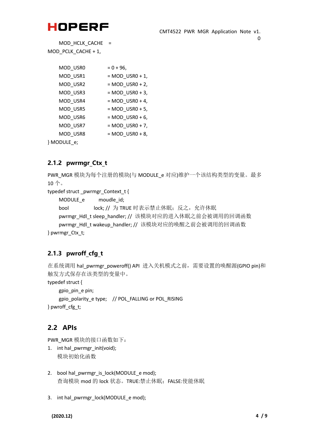

 $\Omega$ 

MOD\_HCLK\_CACHE = MOD\_PCLK\_CACHE + 1,

| MOD USR0    | $= 0 + 96,$        |
|-------------|--------------------|
| MOD USR1    | $= MOD$ USR0 + 1,  |
| MOD USR2    | $= MOD$ _USR0 + 2, |
| MOD_USR3    | $= MOD$ USR0 + 3,  |
| MOD USR4    | $= MOD$ USR0 + 4,  |
| MOD USR5    | $= MOD$ USR0 + 5,  |
| MOD USR6    | $= MOD$ USR0 + 6,  |
| MOD USR7    | $= MOD$ USR0 + 7,  |
| MOD USR8    | $= MOD$ _USR0 + 8, |
| } MODULE e; |                    |

<span id="page-7-0"></span>**2.1.2 pwrmgr\_Ctx\_t**

PWR\_MGR 模块为每个注册的模块(与 MODULE\_e 对应)维护一个该结构类型的变量。最多 10 个。

typedef struct \_pwrmgr\_Context\_t {

```
MODULE e moudle id;
   bool lock; // 为 TRUE 时表示禁止休眠;反之, 允许休眠
    pwrmgr_Hdl_t sleep_handler; // 该模块对应的进入休眠之前会被调用的回调函数
   pwrmgr_Hdl_t wakeup_handler; // 该模块对应的唤醒之前会被调用的回调函数
} pwrmgr_Ctx_t;
```
### <span id="page-7-1"></span>**2.1.3 pwroff\_cfg\_t**

在系统调用 hal\_pwrmgr\_poweroff() API 进入关机模式之前,需要设置的唤醒源(GPIO pin)和 触发方式保存在该类型的变量中。

typedef struct {

gpio\_pin\_e pin;

```
gpio_polarity_e type; // POL_FALLING or POL_RISING
} pwroff_cfg_t;
```
### <span id="page-7-2"></span>**2.2 APIs**

PWR\_MGR 模块的接口函数如下:

- 1. int hal\_pwrmgr\_init(void); 模块初始化函数
- 2. bool hal\_pwrmgr\_is\_lock(MODULE\_e mod); 查询模块 mod 的 lock 状态。TRUE:禁止休眠;FALSE:使能休眠
- 3. int hal\_pwrmgr\_lock(MODULE\_e mod);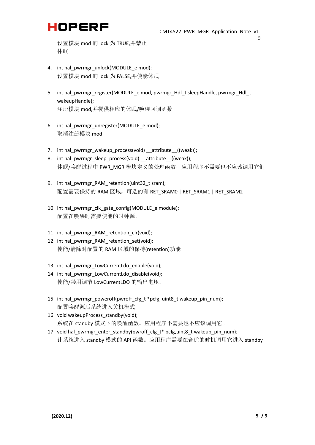

0

设置模块 mod 的 lock 为 TRUE,并禁止 休眠

- 4. int hal\_pwrmgr\_unlock(MODULE\_e mod); 设置模块 mod 的 lock 为 FALSE,并使能休眠
- 5. int hal\_pwrmgr\_register(MODULE\_e mod, pwrmgr\_Hdl\_t sleepHandle, pwrmgr\_Hdl\_t wakeupHandle); 注册模块 mod,并提供相应的休眠/唤醒回调函数
- 6. int hal\_pwrmgr\_unregister(MODULE\_e mod); 取消注册模块 mod
- 7. int hal\_pwrmgr\_wakeup\_process(void) \_\_attribute\_\_((weak));
- 8. int hal\_pwrmgr\_sleep\_process(void) attribute ((weak)); 休眠/唤醒过程中 PWR\_MGR 模块定义的处理函数,应用程序不需要也不应该调用它们
- 9. int hal\_pwrmgr\_RAM\_retention(uint32\_t sram); 配置需要保持的 RAM 区域,可选的有 RET\_SRAM0 | RET\_SRAM1 | RET\_SRAM2
- 10. int hal\_pwrmgr\_clk\_gate\_config(MODULE\_e module); 配置在唤醒时需要使能的时钟源。
- 11. int hal\_pwrmgr\_RAM\_retention\_clr(void);
- 12. int hal\_pwrmgr\_RAM\_retention\_set(void); 使能/清除对配置的 RAM 区域的保持(retention)功能
- 13. int hal\_pwrmgr\_LowCurrentLdo\_enable(void);
- 14. int hal\_pwrmgr\_LowCurrentLdo\_disable(void); 使能/禁用调节 LowCurrentLDO 的输出电压。
- 15. int hal\_pwrmgr\_poweroff(pwroff\_cfg\_t \*pcfg, uint8\_t wakeup\_pin\_num); 配置唤醒源后系统进入关机模式
- 16. void wakeupProcess\_standby(void); 系统在 standby 模式下的唤醒函数。应用程序不需要也不应该调用它。
- 17. void hal\_pwrmgr\_enter\_standby(pwroff\_cfg\_t\* pcfg,uint8\_t wakeup\_pin\_num); 让系统进入 standby 模式的 API 函数。应用程序需要在合适的时机调用它进入 standby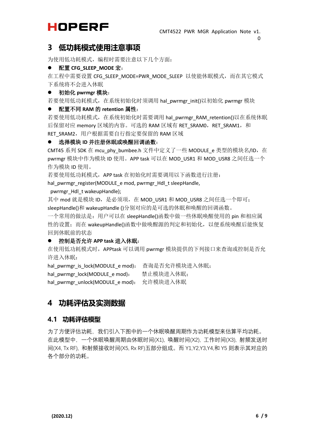0

### <span id="page-9-0"></span>**3 低功耗模式使用注意事项**

为使用低功耗模式,编程时需要注意以下几个方面:

#### ● 配置 CFG\_SLEEP\_MODE<sup>宏</sup>:

在工程中需要设置 CFG SLEEP MODE=PWR MODE SLEEP 以使能休眠模式,而在其它模式 下系统将不会进入休眠

#### ⚫ 初始化 **pwrmgr** 模块:

若要使用低功耗模式,在系统初始化时须调用 hal\_pwrmgr\_init()以初始化 pwrmgr 模块

#### ⚫ 配置不同 **RAM** 的 **retention** 属性:

若要使用低功耗模式,在系统初始化时需要调用 hal\_pwrmgr\_RAM\_retention()以在系统休眠 后保留对应 memory 区域的内容。可选的 RAM 区域有 RET\_SRAM0, RET\_SRAM1, 和 RET SRAM2, 用户根据需要自行指定要保留的 RAM 区域

#### ● 选择模块 ID 并注册休眠或唤醒回调函数:

CMT45 系列 SDK 在 mcu\_phy\_bumbee.h 文件中定义了一些 MODULE e 类型的模块名/ID, 在 pwrmgr 模块中作为模块 ID 使用。APP task 可以在 MOD\_USR1 和 MOD\_USR8 之间任选一个 作为模块 ID 使用。

若要使用低功耗模式, APP task 在初始化时需要调用以下函数进行注册:

hal\_pwrmgr\_register(MODULE\_e mod, pwrmgr\_Hdl\_t sleepHandle,

#### pwrmgr\_Hdl\_t wakeupHandle);

其中 mod 就是模块 ID, 是必须项, 在 MOD\_USR1 和 MOD\_USR8 之间任选一个即可; sleepHandle()和 wakeupHandle ()分别对应的是可选的休眠和唤醒的回调函数。

一个常用的做法是:用户可以在 sleepHandle()函数中做一些休眠唤醒使用的 pin 和相应属 性的设置;而在 wakeupHandle()函数中做唤醒源的判定和初始化,以便系统唤醒后能恢复 回到休眠前的状态

#### ⚫ 控制是否允许 **APP task** 进入休眠:

在使用低功耗模式时,APPtask 可以调用 pwrmgr 模块提供的下列接口来查询或控制是否允 许进入休眠:

hal\_pwrmgr\_is\_lock(MODULE\_e mod): 查询是否允许模块进入休眠; hal\_pwrmgr\_lock(MODULE\_e mod): 禁止模块进入休眠; hal\_pwrmgr\_unlock(MODULE\_e mod): 允许模块进入休眠

### <span id="page-9-1"></span>**4 功耗评估及实测数据**

#### <span id="page-9-2"></span>**4.1 功耗评估模型**

为了方便评估功耗,我们引入下图中的一个休眠唤醒周期作为功耗模型来估算平均功耗。 在此模型中,一个休眠唤醒周期由休眠时间(X1), 唤醒时间(X2), 工作时间(X3), 射频发送时 间(X4, Tx RF), 和射频接收时间(X5, Rx RF)五部分组成。而 Y1,Y2,Y3,Y4,和 Y5 则表示其对应的 各个部分的功耗。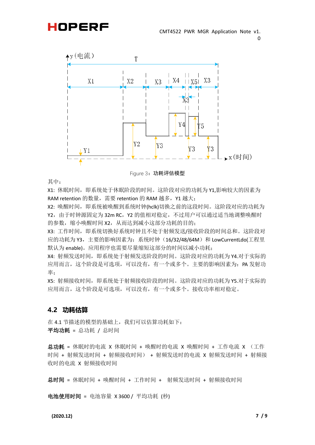$\Omega$ 



Figure 3: 功耗评估模型

<span id="page-10-1"></span>其中:

X1: 休眠时间,即系统处于休眠阶段的时间。这阶段对应的功耗为 Y1,影响较大的因素为 RAM retention 的数量,需要 retention 的 RAM 越多, Y1 越大;

X2: 唤醒时间, 即系统被唤醒到系统时钟(hclk)切换之前的这段时间。这阶段对应的功耗为 Y2, 由于时钟源固定为 32m RC, Y2 的值相对稳定, 不过用户可以通过适当地调整唤醒时 的参数,缩小唤醒时间 X2,从而达到减小这部分功耗的目的;

X3: 工作时间,即系统切换好系统时钟且不处于射频发送/接收阶段的时间总和。这阶段对 应的功耗为 Y3, 主要的影响因素为: 系统时钟 (16/32/48/64M)和 LowCurrentLdo(工程里 默认为 enable)。应用程序也需要尽量缩短这部分的时间以减小功耗;

X4: 射频发送时间,即系统处于射频发送阶段的时间。这阶段对应的功耗为 Y4.对于实际的 应用而言,这个阶段是可选项,可以没有,有一个或多个。主要的影响因素为:PA 发射功 率;

X5: 射频接收时间,即系统处于射频接收阶段的时间。这阶段对应的功耗为 Y5.对于实际的 应用而言,这个阶段是可选项,可以没有,有一个或多个。接收功率相对稳定。

#### <span id="page-10-0"></span>**4.2 功耗估算**

在 4.1 节描述的模型的基础上,我们可以估算功耗如下: 平均功耗 = 总功耗 / 总时间

总功耗 = 休眠时的电流 X 休眠时间 + 唤醒时的电流 X 唤醒时间 + 工作电流 X (工作 时间 + 射频发送时间 + 射频接收时间) + 射频发送时的电流 X 射频发送时间 + 射频接 收时的电流 X 射频接收时间

总时间 = 休眠时间 + 唤醒时间 + 工作时间 + 射频发送时间 + 射频接收时间

电池使用时间 = 电池容量 X 3600 / 平均功耗 (秒)

**(2020.12)**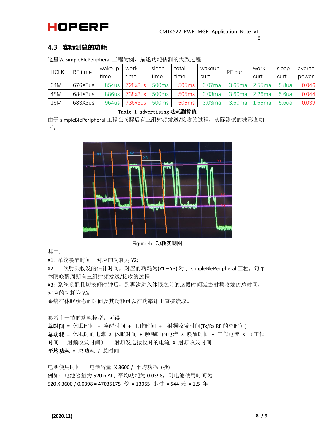

 $\Omega$ 

#### <span id="page-11-0"></span>**4.3 实际测算的功耗**

| <b>HCLK</b> | RF time | wakeup       | work    | sleep             | total             | wakeup             | RF curt            | work   | sleep             | averag |
|-------------|---------|--------------|---------|-------------------|-------------------|--------------------|--------------------|--------|-------------------|--------|
|             |         | time         | time    | time              | time              | curt               |                    | curt   | curt              | power  |
| 64M         | 676X3us | 854us        | 728x3us | 500 <sub>ms</sub> | 505 <sub>ms</sub> | 3.07 <sub>ma</sub> | 3.65 <sub>ma</sub> | 2.55ma | 5.8 <sub>ua</sub> | 0.046  |
| 48M         | 684X3us | <b>886us</b> | 738x3us | 500 <sub>ms</sub> | 505 <sub>ms</sub> | 3.03 <sub>ma</sub> | 3.60 <sub>ma</sub> | 2.26ma | $5.6$ ua          | 0.044  |
| 16M         | 683X3us | 964us        | 736x3us | 500 <sub>ms</sub> | 505 <sub>ms</sub> | 3.03 <sub>ma</sub> | 3.60 <sub>ma</sub> | 1.65ma | 5.6 <sub>ua</sub> | 0.039  |

这里以 simpleBlePeripheral 工程为例,描述功耗估测的大致过程:

#### Table 1 advertising 功耗测算值

<span id="page-11-1"></span>由于 simpleBlePeripheral 工程在唤醒后有三组射频发送/接收的过程,实际测试的波形图如 下:



Figure 4: 功耗实测图

<span id="page-11-2"></span>其中:

X1: 系统唤醒时间,对应的功耗为 Y2;

X2: 一次射频收发的估计时间, 对应的功耗为(Y1-Y3),对于 simpleBlePeripheral 工程, 每个 休眠唤醒周期有三组射频发送/接收的过程;

X3: 系统唤醒且切换好时钟后,到再次进入休眠之前的这段时间减去射频收发的总时间, 对应的功耗为 Y3:

系统在休眠状态的时间及其功耗可以在功率计上直接读取。

参考上一节的功耗模型,可得

总时间 = 休眠时间 + 唤醒时间 + 工作时间 + 射频收发时间(Tx/Rx RF 的总时间) 总功耗 = 休眠时的电流 X 休眠时间 + 唤醒时的电流 X 唤醒时间 + 工作电流 X (工作 时间 + 射频收发时间) + 射频发送接收时的电流 X 射频收发时间 平均功耗 = 总功耗 / 总时间

电池使用时间 = 电池容量 X 3600 / 平均功耗 (秒) 例如:电池容量为 520 mAh, 平均功耗为 0.0398,则电池使用时间为 520 X 3600 / 0.0398 = 47035175 秒 = 13065 小时 = 544 天 = 1.5 年